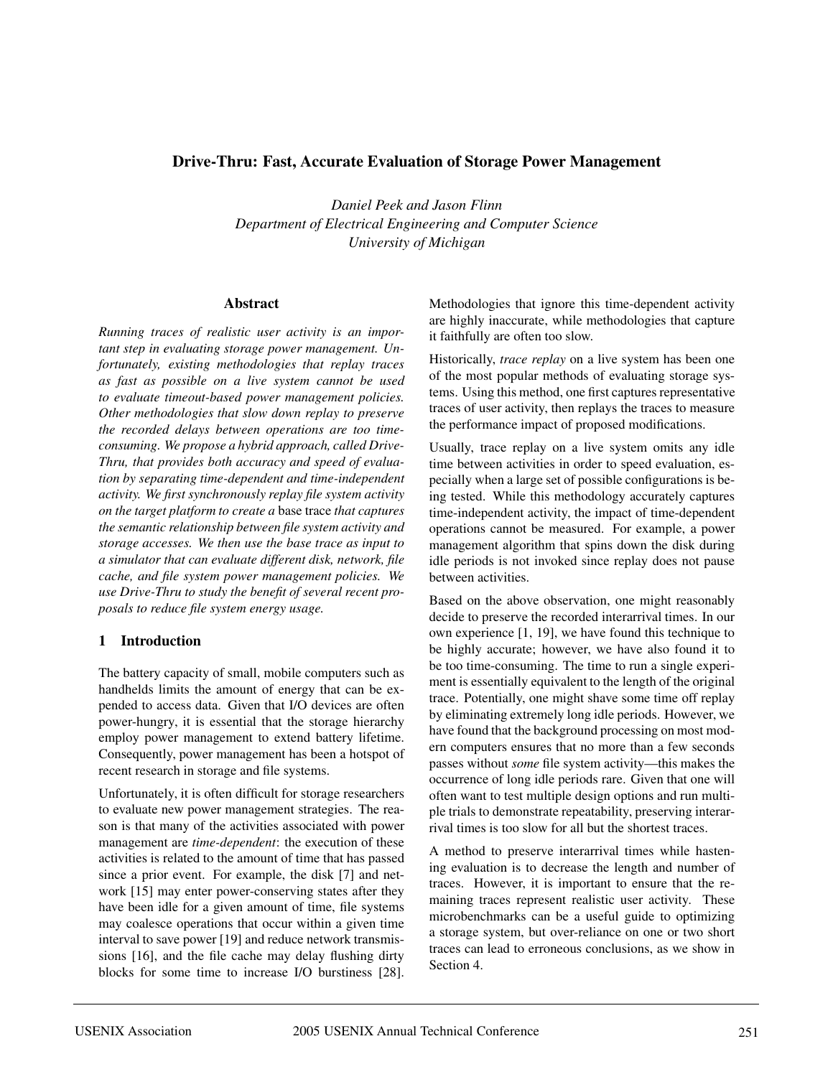## **Drive-Thru: Fast, Accurate Evaluation of Storage Power Management**

*Daniel Peek and Jason Flinn Department of Electrical Engineering and Computer Science University of Michigan*

#### **Abstract**

*Running traces of realistic user activity is an important step in evaluating storage power management. Unfortunately, existing methodologies that replay traces as fast as possible on a live system cannot be used to evaluate timeout-based power management policies. Other methodologies that slow down replay to preserve the recorded delays between operations are too timeconsuming. We propose a hybrid approach, called Drive-Thru, that provides both accuracy and speed of evaluation by separating time-dependent and time-independent activity. We first synchronously replay file system activity on the target platform to create a* base trace *that captures the semantic relationship between file system activity and storage accesses. We then use the base trace as input to a simulator that can evaluate different disk, network, file cache, and file system power management policies. We use Drive-Thru to study the benefit of several recent proposals to reduce file system energy usage.*

#### **1 Introduction**

The battery capacity of small, mobile computers such as handhelds limits the amount of energy that can be expended to access data. Given that I/O devices are often power-hungry, it is essential that the storage hierarchy employ power management to extend battery lifetime. Consequently, power management has been a hotspot of recent research in storage and file systems.

Unfortunately, it is often difficult for storage researchers to evaluate new power management strategies. The reason is that many of the activities associated with power management are *time-dependent*: the execution of these activities is related to the amount of time that has passed since a prior event. For example, the disk [7] and network [15] may enter power-conserving states after they have been idle for a given amount of time, file systems may coalesce operations that occur within a given time interval to save power [19] and reduce network transmissions [16], and the file cache may delay flushing dirty blocks for some time to increase I/O burstiness [28].

Methodologies that ignore this time-dependent activity are highly inaccurate, while methodologies that capture it faithfully are often too slow.

Historically, *trace replay* on a live system has been one of the most popular methods of evaluating storage systems. Using this method, one first captures representative traces of user activity, then replays the traces to measure the performance impact of proposed modifications.

Usually, trace replay on a live system omits any idle time between activities in order to speed evaluation, especially when a large set of possible configurations is being tested. While this methodology accurately captures time-independent activity, the impact of time-dependent operations cannot be measured. For example, a power management algorithm that spins down the disk during idle periods is not invoked since replay does not pause between activities.

Based on the above observation, one might reasonably decide to preserve the recorded interarrival times. In our own experience [1, 19], we have found this technique to be highly accurate; however, we have also found it to be too time-consuming. The time to run a single experiment is essentially equivalent to the length of the original trace. Potentially, one might shave some time off replay by eliminating extremely long idle periods. However, we have found that the background processing on most modern computers ensures that no more than a few seconds passes without *some* file system activity—this makes the occurrence of long idle periods rare. Given that one will often want to test multiple design options and run multiple trials to demonstrate repeatability, preserving interarrival times is too slow for all but the shortest traces.

A method to preserve interarrival times while hastening evaluation is to decrease the length and number of traces. However, it is important to ensure that the remaining traces represent realistic user activity. These microbenchmarks can be a useful guide to optimizing a storage system, but over-reliance on one or two short traces can lead to erroneous conclusions, as we show in Section 4.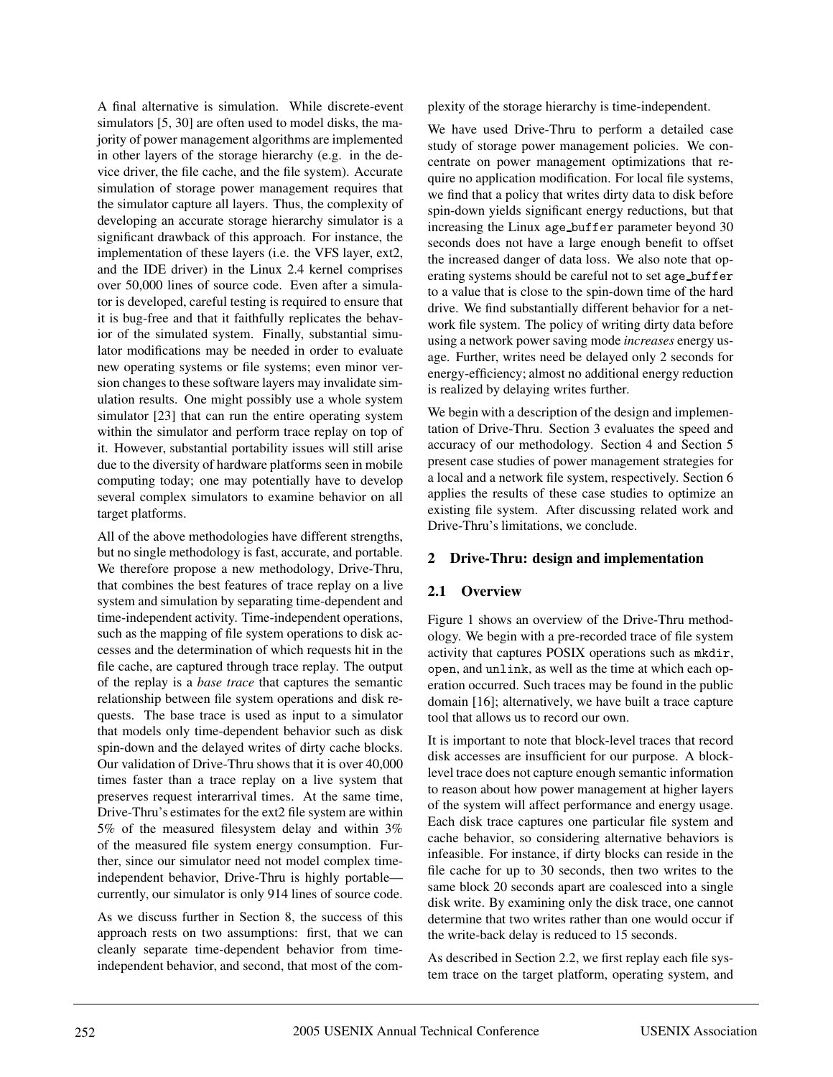A final alternative is simulation. While discrete-event simulators [5, 30] are often used to model disks, the majority of power management algorithms are implemented in other layers of the storage hierarchy (e.g. in the device driver, the file cache, and the file system). Accurate simulation of storage power management requires that the simulator capture all layers. Thus, the complexity of developing an accurate storage hierarchy simulator is a significant drawback of this approach. For instance, the implementation of these layers (i.e. the VFS layer, ext2, and the IDE driver) in the Linux 2.4 kernel comprises over 50,000 lines of source code. Even after a simulator is developed, careful testing is required to ensure that it is bug-free and that it faithfully replicates the behavior of the simulated system. Finally, substantial simulator modifications may be needed in order to evaluate new operating systems or file systems; even minor version changes to these software layers may invalidate simulation results. One might possibly use a whole system simulator [23] that can run the entire operating system within the simulator and perform trace replay on top of it. However, substantial portability issues will still arise due to the diversity of hardware platforms seen in mobile computing today; one may potentially have to develop several complex simulators to examine behavior on all target platforms.

All of the above methodologies have different strengths, but no single methodology is fast, accurate, and portable. We therefore propose a new methodology, Drive-Thru, that combines the best features of trace replay on a live system and simulation by separating time-dependent and time-independent activity. Time-independent operations, such as the mapping of file system operations to disk accesses and the determination of which requests hit in the file cache, are captured through trace replay. The output of the replay is a *base trace* that captures the semantic relationship between file system operations and disk requests. The base trace is used as input to a simulator that models only time-dependent behavior such as disk spin-down and the delayed writes of dirty cache blocks. Our validation of Drive-Thru shows that it is over 40,000 times faster than a trace replay on a live system that preserves request interarrival times. At the same time, Drive-Thru's estimates for the ext2 file system are within 5% of the measured filesystem delay and within 3% of the measured file system energy consumption. Further, since our simulator need not model complex timeindependent behavior, Drive-Thru is highly portable currently, our simulator is only 914 lines of source code.

As we discuss further in Section 8, the success of this approach rests on two assumptions: first, that we can cleanly separate time-dependent behavior from timeindependent behavior, and second, that most of the complexity of the storage hierarchy is time-independent.

We have used Drive-Thru to perform a detailed case study of storage power management policies. We concentrate on power management optimizations that require no application modification. For local file systems, we find that a policy that writes dirty data to disk before spin-down yields significant energy reductions, but that increasing the Linux age buffer parameter beyond 30 seconds does not have a large enough benefit to offset the increased danger of data loss. We also note that operating systems should be careful not to set age\_buffer to a value that is close to the spin-down time of the hard drive. We find substantially different behavior for a network file system. The policy of writing dirty data before using a network power saving mode *increases* energy usage. Further, writes need be delayed only 2 seconds for energy-efficiency; almost no additional energy reduction is realized by delaying writes further.

We begin with a description of the design and implementation of Drive-Thru. Section 3 evaluates the speed and accuracy of our methodology. Section 4 and Section 5 present case studies of power management strategies for a local and a network file system, respectively. Section 6 applies the results of these case studies to optimize an existing file system. After discussing related work and Drive-Thru's limitations, we conclude.

#### **2 Drive-Thru: design and implementation**

## **2.1 Overview**

Figure 1 shows an overview of the Drive-Thru methodology. We begin with a pre-recorded trace of file system activity that captures POSIX operations such as mkdir, open, and unlink, as well as the time at which each operation occurred. Such traces may be found in the public domain [16]; alternatively, we have built a trace capture tool that allows us to record our own.

It is important to note that block-level traces that record disk accesses are insufficient for our purpose. A blocklevel trace does not capture enough semantic information to reason about how power management at higher layers of the system will affect performance and energy usage. Each disk trace captures one particular file system and cache behavior, so considering alternative behaviors is infeasible. For instance, if dirty blocks can reside in the file cache for up to 30 seconds, then two writes to the same block 20 seconds apart are coalesced into a single disk write. By examining only the disk trace, one cannot determine that two writes rather than one would occur if the write-back delay is reduced to 15 seconds.

As described in Section 2.2, we first replay each file system trace on the target platform, operating system, and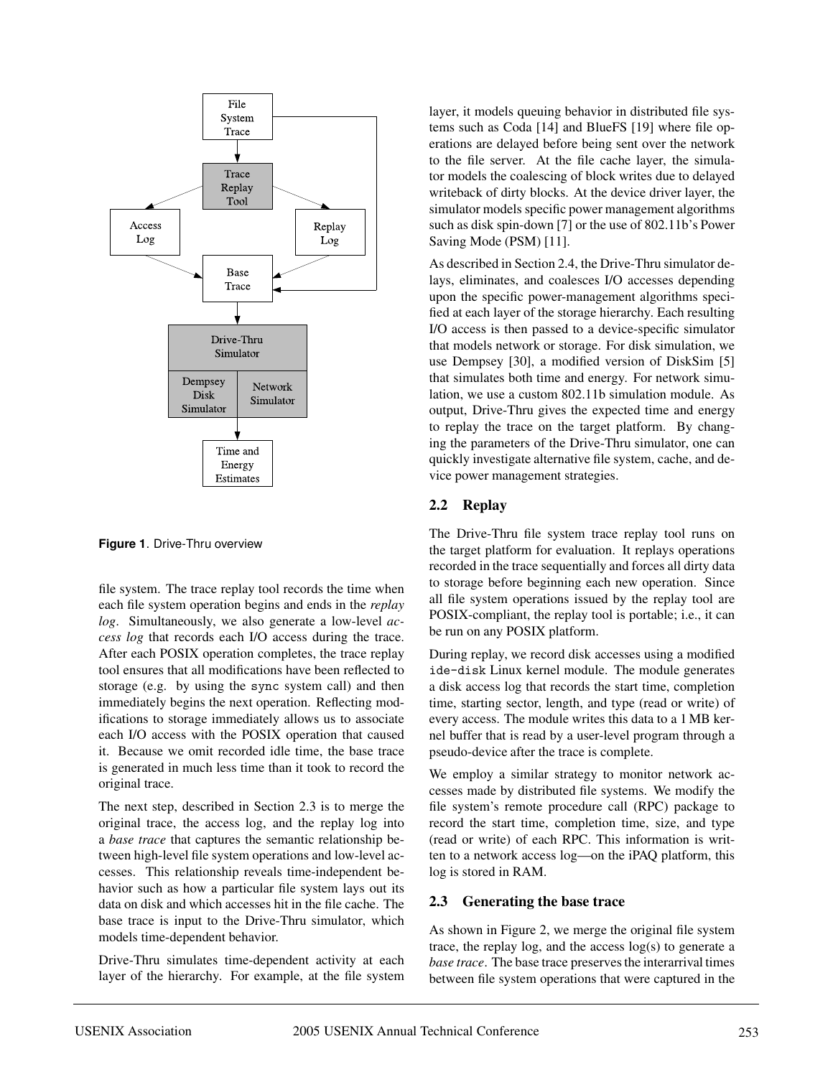

**Figure 1**. Drive-Thru overview

file system. The trace replay tool records the time when each file system operation begins and ends in the *replay log*. Simultaneously, we also generate a low-level *access log* that records each I/O access during the trace. After each POSIX operation completes, the trace replay tool ensures that all modifications have been reflected to storage (e.g. by using the sync system call) and then immediately begins the next operation. Reflecting modifications to storage immediately allows us to associate each I/O access with the POSIX operation that caused it. Because we omit recorded idle time, the base trace is generated in much less time than it took to record the original trace.

The next step, described in Section 2.3 is to merge the original trace, the access log, and the replay log into a *base trace* that captures the semantic relationship between high-level file system operations and low-level accesses. This relationship reveals time-independent behavior such as how a particular file system lays out its data on disk and which accesses hit in the file cache. The base trace is input to the Drive-Thru simulator, which models time-dependent behavior.

Drive-Thru simulates time-dependent activity at each layer of the hierarchy. For example, at the file system

layer, it models queuing behavior in distributed file systems such as Coda [14] and BlueFS [19] where file operations are delayed before being sent over the network to the file server. At the file cache layer, the simulator models the coalescing of block writes due to delayed writeback of dirty blocks. At the device driver layer, the simulator models specific power management algorithms such as disk spin-down [7] or the use of 802.11b's Power Saving Mode (PSM) [11].

As described in Section 2.4, the Drive-Thru simulator delays, eliminates, and coalesces I/O accesses depending upon the specific power-management algorithms specified at each layer of the storage hierarchy. Each resulting I/O access is then passed to a device-specific simulator that models network or storage. For disk simulation, we use Dempsey [30], a modified version of DiskSim [5] that simulates both time and energy. For network simulation, we use a custom 802.11b simulation module. As output, Drive-Thru gives the expected time and energy to replay the trace on the target platform. By changing the parameters of the Drive-Thru simulator, one can quickly investigate alternative file system, cache, and device power management strategies.

## **2.2 Replay**

The Drive-Thru file system trace replay tool runs on the target platform for evaluation. It replays operations recorded in the trace sequentially and forces all dirty data to storage before beginning each new operation. Since all file system operations issued by the replay tool are POSIX-compliant, the replay tool is portable; i.e., it can be run on any POSIX platform.

During replay, we record disk accesses using a modified ide-disk Linux kernel module. The module generates a disk access log that records the start time, completion time, starting sector, length, and type (read or write) of every access. The module writes this data to a 1 MB kernel buffer that is read by a user-level program through a pseudo-device after the trace is complete.

We employ a similar strategy to monitor network accesses made by distributed file systems. We modify the file system's remote procedure call (RPC) package to record the start time, completion time, size, and type (read or write) of each RPC. This information is written to a network access log—on the iPAQ platform, this log is stored in RAM.

# **2.3 Generating the base trace**

As shown in Figure 2, we merge the original file system trace, the replay log, and the access log(s) to generate a *base trace*. The base trace preserves the interarrival times between file system operations that were captured in the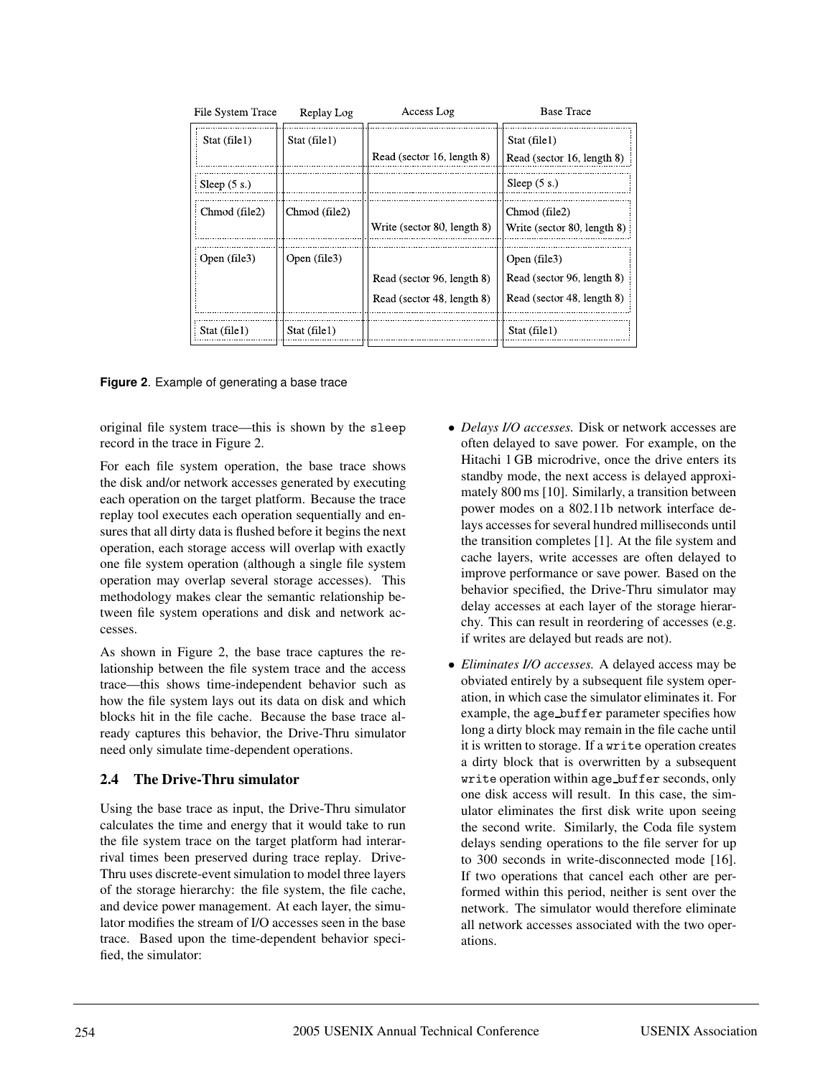| File System Trace | Replay Log    | Access Log                                               | <b>Base Trace</b>                                                        |
|-------------------|---------------|----------------------------------------------------------|--------------------------------------------------------------------------|
| Stat (file1)      | Stat (file1)  | Read (sector 16, length 8)                               | Stat (file1)<br>Read (sector 16, length 8)                               |
| Sleep $(5 s.)$    |               |                                                          | Sleep $(5 s.)$                                                           |
| Chmod (file2)     | Chmod (file2) | Write (sector 80, length 8)                              | Chmod (file2)<br>Write (sector 80, length 8)                             |
| Open (file3)      | Open (file3)  | Read (sector 96, length 8)<br>Read (sector 48, length 8) | Open (file3)<br>Read (sector 96, length 8)<br>Read (sector 48, length 8) |
| Stat (file1)      | Stat (file1)  |                                                          | Stat (file1)                                                             |

**Figure 2**. Example of generating a base trace

original file system trace—this is shown by the sleep record in the trace in Figure 2.

For each file system operation, the base trace shows the disk and/or network accesses generated by executing each operation on the target platform. Because the trace replay tool executes each operation sequentially and ensures that all dirty data is flushed before it begins the next operation, each storage access will overlap with exactly one file system operation (although a single file system operation may overlap several storage accesses). This methodology makes clear the semantic relationship between file system operations and disk and network accesses.

As shown in Figure 2, the base trace captures the relationship between the file system trace and the access trace—this shows time-independent behavior such as how the file system lays out its data on disk and which blocks hit in the file cache. Because the base trace already captures this behavior, the Drive-Thru simulator need only simulate time-dependent operations.

## **2.4 The Drive-Thru simulator**

Using the base trace as input, the Drive-Thru simulator calculates the time and energy that it would take to run the file system trace on the target platform had interarrival times been preserved during trace replay. Drive-Thru uses discrete-event simulation to model three layers of the storage hierarchy: the file system, the file cache, and device power management. At each layer, the simulator modifies the stream of I/O accesses seen in the base trace. Based upon the time-dependent behavior specified, the simulator:

- *Delays I/O accesses.* Disk or network accesses are often delayed to save power. For example, on the Hitachi 1 GB microdrive, once the drive enters its standby mode, the next access is delayed approximately 800 ms [10]. Similarly, a transition between power modes on a 802.11b network interface delays accesses for several hundred milliseconds until the transition completes [1]. At the file system and cache layers, write accesses are often delayed to improve performance or save power. Based on the behavior specified, the Drive-Thru simulator may delay accesses at each layer of the storage hierarchy. This can result in reordering of accesses (e.g. if writes are delayed but reads are not).
- *Eliminates I/O accesses.* A delayed access may be obviated entirely by a subsequent file system operation, in which case the simulator eliminates it. For example, the age buffer parameter specifies how long a dirty block may remain in the file cache until it is written to storage. If a write operation creates a dirty block that is overwritten by a subsequent write operation within age buffer seconds, only one disk access will result. In this case, the simulator eliminates the first disk write upon seeing the second write. Similarly, the Coda file system delays sending operations to the file server for up to 300 seconds in write-disconnected mode [16]. If two operations that cancel each other are performed within this period, neither is sent over the network. The simulator would therefore eliminate all network accesses associated with the two operations.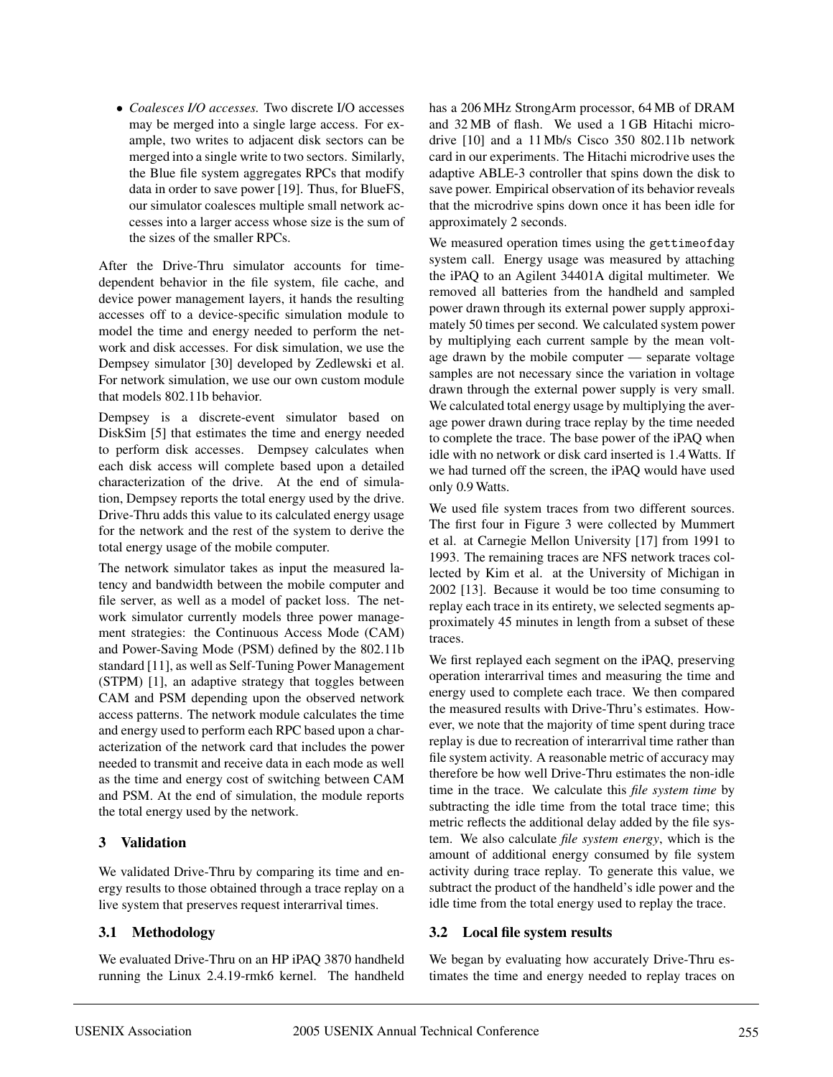• *Coalesces I/O accesses.* Two discrete I/O accesses may be merged into a single large access. For example, two writes to adjacent disk sectors can be merged into a single write to two sectors. Similarly, the Blue file system aggregates RPCs that modify data in order to save power [19]. Thus, for BlueFS, our simulator coalesces multiple small network accesses into a larger access whose size is the sum of the sizes of the smaller RPCs.

After the Drive-Thru simulator accounts for timedependent behavior in the file system, file cache, and device power management layers, it hands the resulting accesses off to a device-specific simulation module to model the time and energy needed to perform the network and disk accesses. For disk simulation, we use the Dempsey simulator [30] developed by Zedlewski et al. For network simulation, we use our own custom module that models 802.11b behavior.

Dempsey is a discrete-event simulator based on DiskSim [5] that estimates the time and energy needed to perform disk accesses. Dempsey calculates when each disk access will complete based upon a detailed characterization of the drive. At the end of simulation, Dempsey reports the total energy used by the drive. Drive-Thru adds this value to its calculated energy usage for the network and the rest of the system to derive the total energy usage of the mobile computer.

The network simulator takes as input the measured latency and bandwidth between the mobile computer and file server, as well as a model of packet loss. The network simulator currently models three power management strategies: the Continuous Access Mode (CAM) and Power-Saving Mode (PSM) defined by the 802.11b standard [11], as well as Self-Tuning Power Management (STPM) [1], an adaptive strategy that toggles between CAM and PSM depending upon the observed network access patterns. The network module calculates the time and energy used to perform each RPC based upon a characterization of the network card that includes the power needed to transmit and receive data in each mode as well as the time and energy cost of switching between CAM and PSM. At the end of simulation, the module reports the total energy used by the network.

## **3 Validation**

We validated Drive-Thru by comparing its time and energy results to those obtained through a trace replay on a live system that preserves request interarrival times.

## **3.1 Methodology**

We evaluated Drive-Thru on an HP iPAQ 3870 handheld running the Linux 2.4.19-rmk6 kernel. The handheld has a 206 MHz StrongArm processor, 64 MB of DRAM and 32 MB of flash. We used a 1 GB Hitachi microdrive [10] and a 11 Mb/s Cisco 350 802.11b network card in our experiments. The Hitachi microdrive uses the adaptive ABLE-3 controller that spins down the disk to save power. Empirical observation of its behavior reveals that the microdrive spins down once it has been idle for approximately 2 seconds.

We measured operation times using the gettimeofday system call. Energy usage was measured by attaching the iPAQ to an Agilent 34401A digital multimeter. We removed all batteries from the handheld and sampled power drawn through its external power supply approximately 50 times per second. We calculated system power by multiplying each current sample by the mean voltage drawn by the mobile computer — separate voltage samples are not necessary since the variation in voltage drawn through the external power supply is very small. We calculated total energy usage by multiplying the average power drawn during trace replay by the time needed to complete the trace. The base power of the iPAQ when idle with no network or disk card inserted is 1.4 Watts. If we had turned off the screen, the iPAQ would have used only 0.9 Watts.

We used file system traces from two different sources. The first four in Figure 3 were collected by Mummert et al. at Carnegie Mellon University [17] from 1991 to 1993. The remaining traces are NFS network traces collected by Kim et al. at the University of Michigan in 2002 [13]. Because it would be too time consuming to replay each trace in its entirety, we selected segments approximately 45 minutes in length from a subset of these traces.

We first replayed each segment on the iPAQ, preserving operation interarrival times and measuring the time and energy used to complete each trace. We then compared the measured results with Drive-Thru's estimates. However, we note that the majority of time spent during trace replay is due to recreation of interarrival time rather than file system activity. A reasonable metric of accuracy may therefore be how well Drive-Thru estimates the non-idle time in the trace. We calculate this *file system time* by subtracting the idle time from the total trace time; this metric reflects the additional delay added by the file system. We also calculate *file system energy*, which is the amount of additional energy consumed by file system activity during trace replay. To generate this value, we subtract the product of the handheld's idle power and the idle time from the total energy used to replay the trace.

## **3.2 Local file system results**

We began by evaluating how accurately Drive-Thru estimates the time and energy needed to replay traces on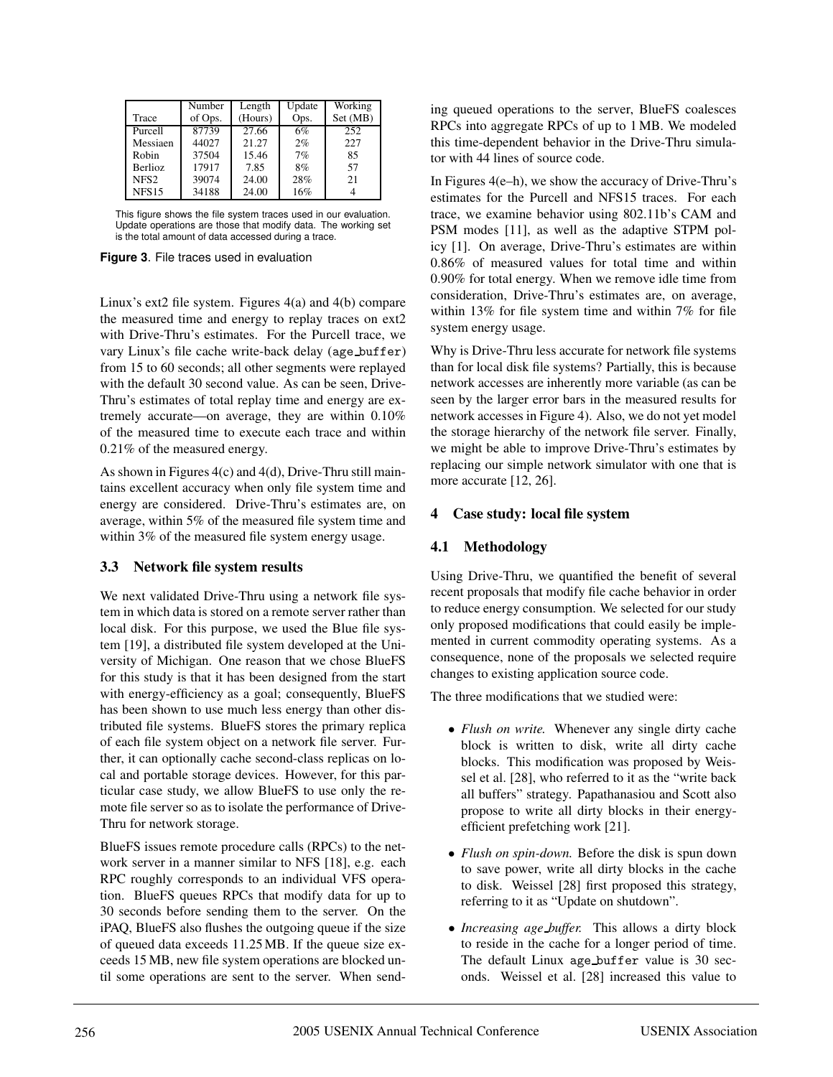|                  | Number  | Length  | Update | Working  |
|------------------|---------|---------|--------|----------|
| Trace            | of Ops. | (Hours) | Ops.   | Set (MB) |
| Purcell          | 87739   | 27.66   | 6%     | 252      |
| Messiaen         | 44027   | 21.27   | 2%     | 227      |
| Robin            | 37504   | 15.46   | 7%     | 85       |
| <b>Berlioz</b>   | 17917   | 7.85    | 8%     | 57       |
| NFS <sub>2</sub> | 39074   | 24.00   | 28%    | 21       |
| <b>NFS15</b>     | 34188   | 24.00   | 16%    |          |

This figure shows the file system traces used in our evaluation. Update operations are those that modify data. The working set is the total amount of data accessed during a trace.

**Figure 3**. File traces used in evaluation

Linux's ext2 file system. Figures 4(a) and 4(b) compare the measured time and energy to replay traces on ext2 with Drive-Thru's estimates. For the Purcell trace, we vary Linux's file cache write-back delay (age buffer) from 15 to 60 seconds; all other segments were replayed with the default 30 second value. As can be seen, Drive-Thru's estimates of total replay time and energy are extremely accurate—on average, they are within 0.10% of the measured time to execute each trace and within 0.21% of the measured energy.

As shown in Figures 4(c) and 4(d), Drive-Thru still maintains excellent accuracy when only file system time and energy are considered. Drive-Thru's estimates are, on average, within 5% of the measured file system time and within 3% of the measured file system energy usage.

## **3.3 Network file system results**

We next validated Drive-Thru using a network file system in which data is stored on a remote server rather than local disk. For this purpose, we used the Blue file system [19], a distributed file system developed at the University of Michigan. One reason that we chose BlueFS for this study is that it has been designed from the start with energy-efficiency as a goal; consequently, BlueFS has been shown to use much less energy than other distributed file systems. BlueFS stores the primary replica of each file system object on a network file server. Further, it can optionally cache second-class replicas on local and portable storage devices. However, for this particular case study, we allow BlueFS to use only the remote file server so as to isolate the performance of Drive-Thru for network storage.

BlueFS issues remote procedure calls (RPCs) to the network server in a manner similar to NFS [18], e.g. each RPC roughly corresponds to an individual VFS operation. BlueFS queues RPCs that modify data for up to 30 seconds before sending them to the server. On the iPAQ, BlueFS also flushes the outgoing queue if the size of queued data exceeds 11.25 MB. If the queue size exceeds 15 MB, new file system operations are blocked until some operations are sent to the server. When sending queued operations to the server, BlueFS coalesces RPCs into aggregate RPCs of up to 1 MB. We modeled this time-dependent behavior in the Drive-Thru simulator with 44 lines of source code.

In Figures  $4(e-h)$ , we show the accuracy of Drive-Thru's estimates for the Purcell and NFS15 traces. For each trace, we examine behavior using 802.11b's CAM and PSM modes [11], as well as the adaptive STPM policy [1]. On average, Drive-Thru's estimates are within 0.86% of measured values for total time and within 0.90% for total energy. When we remove idle time from consideration, Drive-Thru's estimates are, on average, within 13% for file system time and within 7% for file system energy usage.

Why is Drive-Thru less accurate for network file systems than for local disk file systems? Partially, this is because network accesses are inherently more variable (as can be seen by the larger error bars in the measured results for network accesses in Figure 4). Also, we do not yet model the storage hierarchy of the network file server. Finally, we might be able to improve Drive-Thru's estimates by replacing our simple network simulator with one that is more accurate [12, 26].

# **4 Case study: local file system**

# **4.1 Methodology**

Using Drive-Thru, we quantified the benefit of several recent proposals that modify file cache behavior in order to reduce energy consumption. We selected for our study only proposed modifications that could easily be implemented in current commodity operating systems. As a consequence, none of the proposals we selected require changes to existing application source code.

The three modifications that we studied were:

- *Flush on write.* Whenever any single dirty cache block is written to disk, write all dirty cache blocks. This modification was proposed by Weissel et al. [28], who referred to it as the "write back all buffers" strategy. Papathanasiou and Scott also propose to write all dirty blocks in their energyefficient prefetching work [21].
- *Flush on spin-down.* Before the disk is spun down to save power, write all dirty blocks in the cache to disk. Weissel [28] first proposed this strategy, referring to it as "Update on shutdown".
- *Increasing age buffer.* This allows a dirty block to reside in the cache for a longer period of time. The default Linux age buffer value is 30 seconds. Weissel et al. [28] increased this value to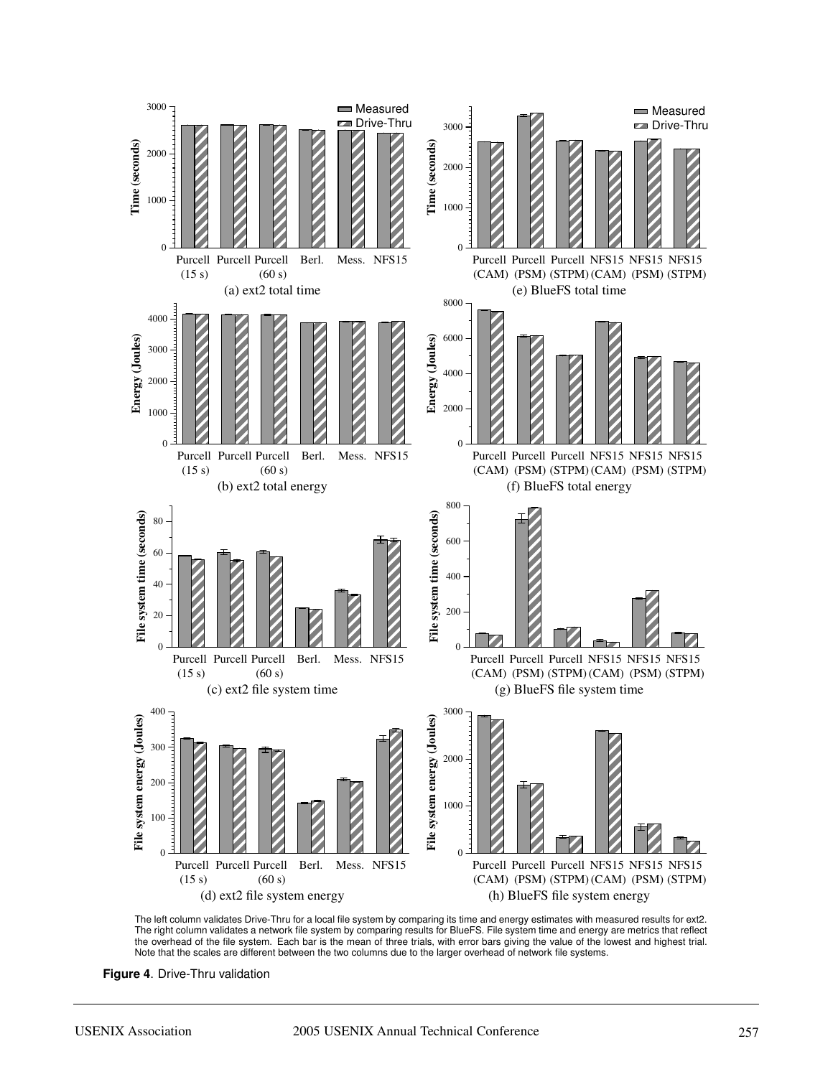

The left column validates Drive-Thru for a local file system by comparing its time and energy estimates with measured results for ext2. The right column validates a network file system by comparing results for BlueFS. File system time and energy are metrics that reflect the overhead of the file system. Each bar is the mean of three trials, with error bars giving the value of the lowest and highest trial. Note that the scales are different between the two columns due to the larger overhead of network file systems.

**Figure 4**. Drive-Thru validation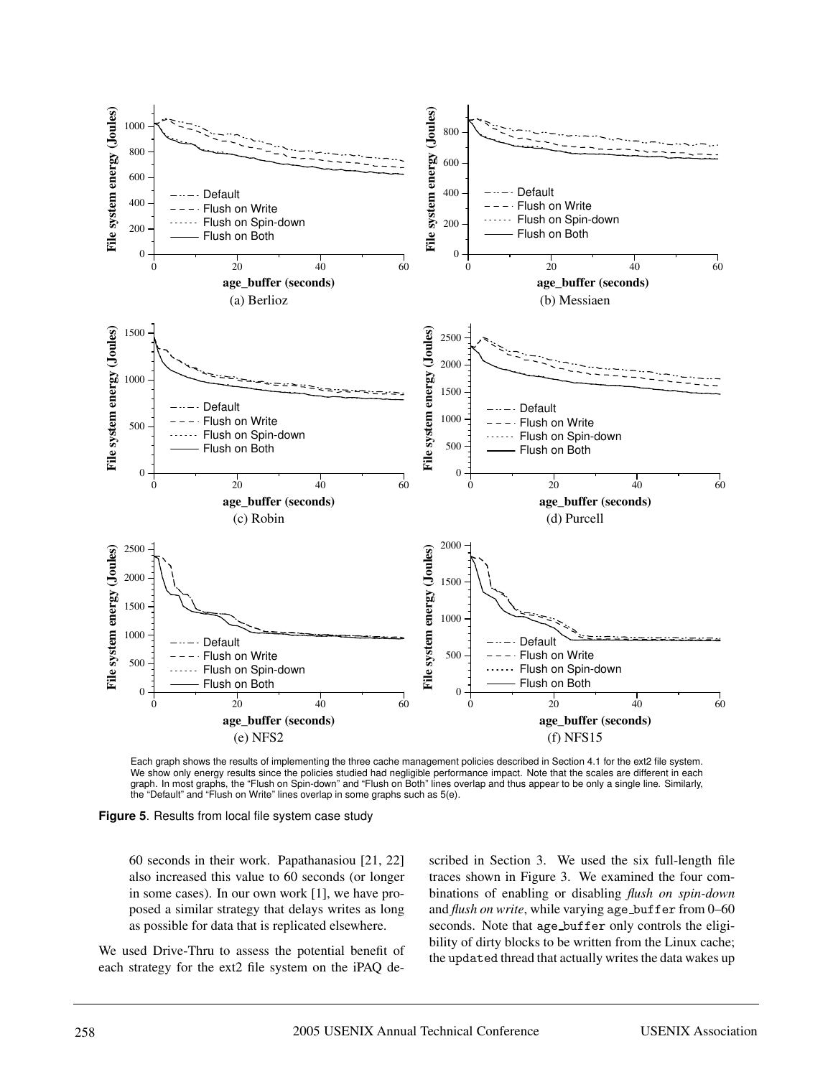

Each graph shows the results of implementing the three cache management policies described in Section 4.1 for the ext2 file system. We show only energy results since the policies studied had negligible performance impact. Note that the scales are different in each graph. In most graphs, the "Flush on Spin-down" and "Flush on Both" lines overlap and thus appear to be only a single line. Similarly, the "Default" and "Flush on Write" lines overlap in some graphs such as 5(e).

**Figure 5**. Results from local file system case study

60 seconds in their work. Papathanasiou [21, 22] also increased this value to 60 seconds (or longer in some cases). In our own work [1], we have proposed a similar strategy that delays writes as long as possible for data that is replicated elsewhere.

We used Drive-Thru to assess the potential benefit of each strategy for the ext2 file system on the iPAQ de-

scribed in Section 3. We used the six full-length file traces shown in Figure 3. We examined the four combinations of enabling or disabling *flush on spin-down* and *flush on write*, while varying age\_buffer from 0-60 seconds. Note that age buffer only controls the eligibility of dirty blocks to be written from the Linux cache; the updated thread that actually writes the data wakes up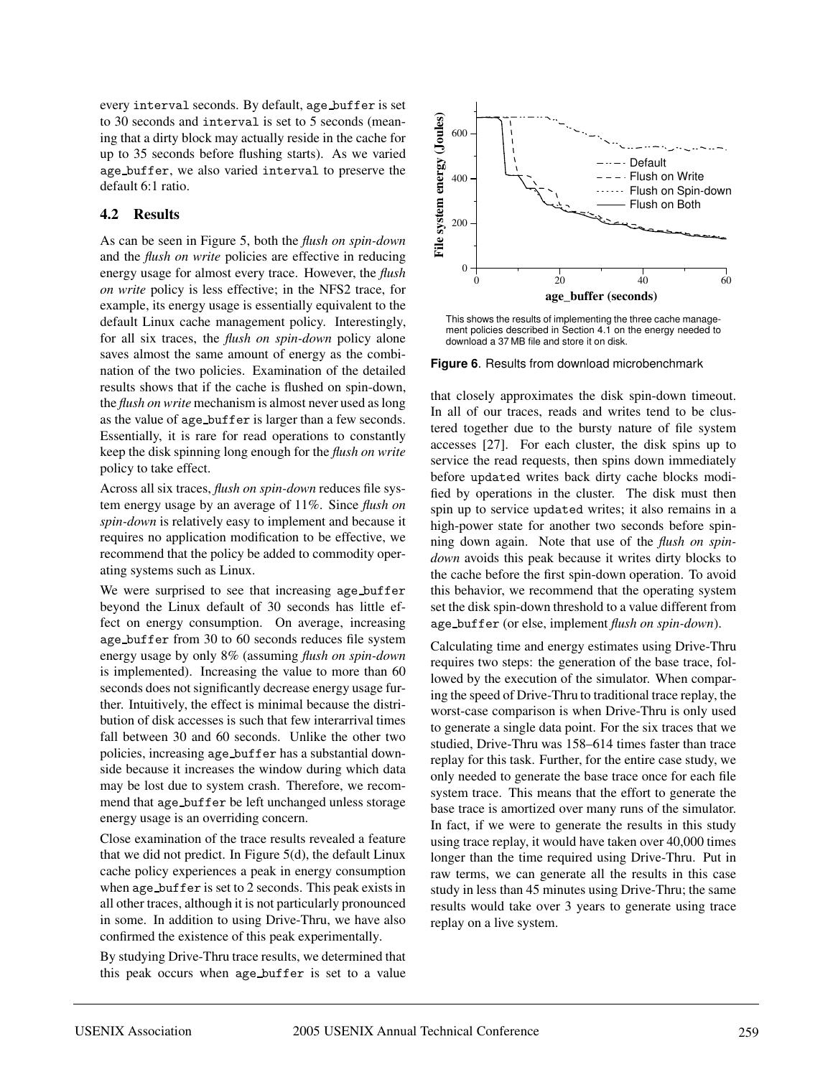every interval seconds. By default, age buffer is set to 30 seconds and interval is set to 5 seconds (meaning that a dirty block may actually reside in the cache for up to 35 seconds before flushing starts). As we varied age buffer, we also varied interval to preserve the default 6:1 ratio.

## **4.2 Results**

As can be seen in Figure 5, both the *flush on spin-down* and the *flush on write* policies are effective in reducing energy usage for almost every trace. However, the *flush on write* policy is less effective; in the NFS2 trace, for example, its energy usage is essentially equivalent to the default Linux cache management policy. Interestingly, for all six traces, the *flush on spin-down* policy alone saves almost the same amount of energy as the combination of the two policies. Examination of the detailed results shows that if the cache is flushed on spin-down, the *flush on write* mechanism is almost never used as long as the value of age buffer is larger than a few seconds. Essentially, it is rare for read operations to constantly keep the disk spinning long enough for the *flush on write* policy to take effect.

Across all six traces, *flush on spin-down* reduces file system energy usage by an average of 11%. Since *flush on spin-down* is relatively easy to implement and because it requires no application modification to be effective, we recommend that the policy be added to commodity operating systems such as Linux.

We were surprised to see that increasing age\_buffer beyond the Linux default of 30 seconds has little effect on energy consumption. On average, increasing age buffer from 30 to 60 seconds reduces file system energy usage by only 8% (assuming *flush on spin-down* is implemented). Increasing the value to more than 60 seconds does not significantly decrease energy usage further. Intuitively, the effect is minimal because the distribution of disk accesses is such that few interarrival times fall between 30 and 60 seconds. Unlike the other two policies, increasing age buffer has a substantial downside because it increases the window during which data may be lost due to system crash. Therefore, we recommend that age buffer be left unchanged unless storage energy usage is an overriding concern.

Close examination of the trace results revealed a feature that we did not predict. In Figure 5(d), the default Linux cache policy experiences a peak in energy consumption when age buffer is set to 2 seconds. This peak exists in all other traces, although it is not particularly pronounced in some. In addition to using Drive-Thru, we have also confirmed the existence of this peak experimentally.

By studying Drive-Thru trace results, we determined that this peak occurs when age buffer is set to a value



This shows the results of implementing the three cache management policies described in Section 4.1 on the energy needed to download a 37 MB file and store it on disk.

**Figure 6**. Results from download microbenchmark

that closely approximates the disk spin-down timeout. In all of our traces, reads and writes tend to be clustered together due to the bursty nature of file system accesses [27]. For each cluster, the disk spins up to service the read requests, then spins down immediately before updated writes back dirty cache blocks modified by operations in the cluster. The disk must then spin up to service updated writes; it also remains in a high-power state for another two seconds before spinning down again. Note that use of the *flush on spindown* avoids this peak because it writes dirty blocks to the cache before the first spin-down operation. To avoid this behavior, we recommend that the operating system set the disk spin-down threshold to a value different from age buffer (or else, implement *flush on spin-down*).

Calculating time and energy estimates using Drive-Thru requires two steps: the generation of the base trace, followed by the execution of the simulator. When comparing the speed of Drive-Thru to traditional trace replay, the worst-case comparison is when Drive-Thru is only used to generate a single data point. For the six traces that we studied, Drive-Thru was 158–614 times faster than trace replay for this task. Further, for the entire case study, we only needed to generate the base trace once for each file system trace. This means that the effort to generate the base trace is amortized over many runs of the simulator. In fact, if we were to generate the results in this study using trace replay, it would have taken over 40,000 times longer than the time required using Drive-Thru. Put in raw terms, we can generate all the results in this case study in less than 45 minutes using Drive-Thru; the same results would take over 3 years to generate using trace replay on a live system.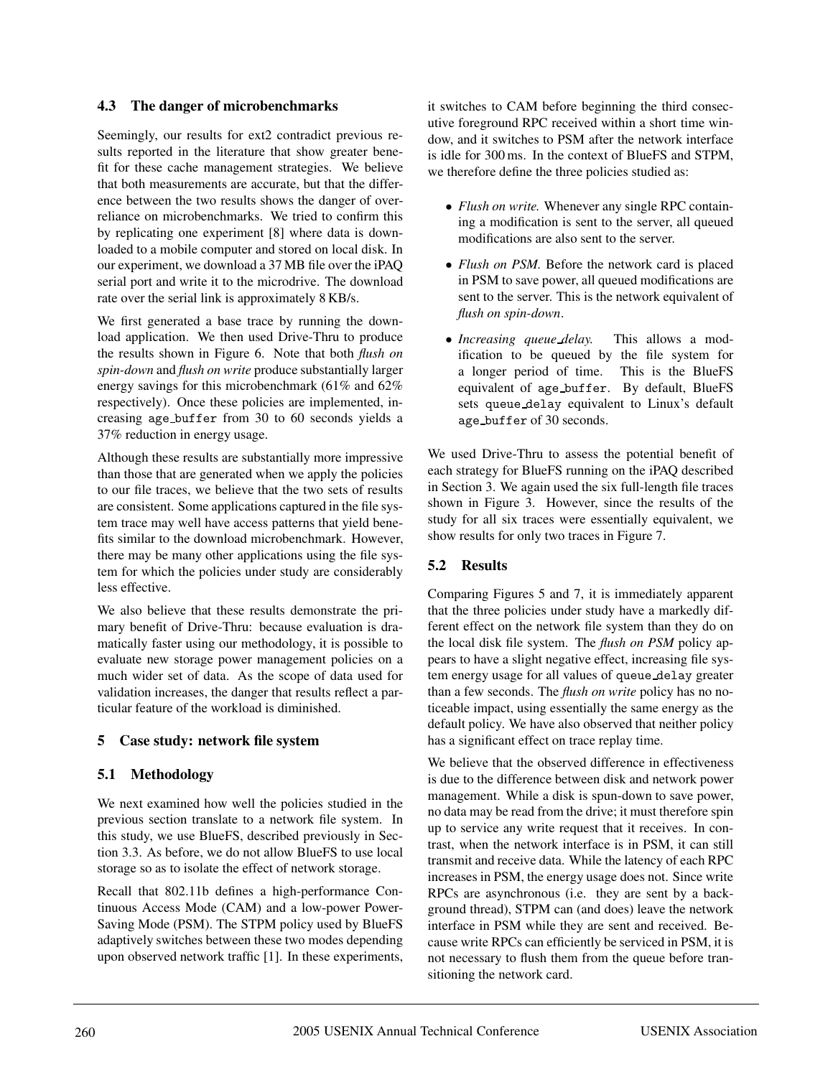#### **4.3 The danger of microbenchmarks**

Seemingly, our results for ext2 contradict previous results reported in the literature that show greater benefit for these cache management strategies. We believe that both measurements are accurate, but that the difference between the two results shows the danger of overreliance on microbenchmarks. We tried to confirm this by replicating one experiment [8] where data is downloaded to a mobile computer and stored on local disk. In our experiment, we download a 37 MB file over the iPAQ serial port and write it to the microdrive. The download rate over the serial link is approximately 8 KB/s.

We first generated a base trace by running the download application. We then used Drive-Thru to produce the results shown in Figure 6. Note that both *flush on spin-down* and *flush on write* produce substantially larger energy savings for this microbenchmark (61% and 62% respectively). Once these policies are implemented, increasing age buffer from 30 to 60 seconds yields a 37% reduction in energy usage.

Although these results are substantially more impressive than those that are generated when we apply the policies to our file traces, we believe that the two sets of results are consistent. Some applications captured in the file system trace may well have access patterns that yield benefits similar to the download microbenchmark. However, there may be many other applications using the file system for which the policies under study are considerably less effective.

We also believe that these results demonstrate the primary benefit of Drive-Thru: because evaluation is dramatically faster using our methodology, it is possible to evaluate new storage power management policies on a much wider set of data. As the scope of data used for validation increases, the danger that results reflect a particular feature of the workload is diminished.

## **5 Case study: network file system**

## **5.1 Methodology**

We next examined how well the policies studied in the previous section translate to a network file system. In this study, we use BlueFS, described previously in Section 3.3. As before, we do not allow BlueFS to use local storage so as to isolate the effect of network storage.

Recall that 802.11b defines a high-performance Continuous Access Mode (CAM) and a low-power Power-Saving Mode (PSM). The STPM policy used by BlueFS adaptively switches between these two modes depending upon observed network traffic [1]. In these experiments, it switches to CAM before beginning the third consecutive foreground RPC received within a short time window, and it switches to PSM after the network interface is idle for 300 ms. In the context of BlueFS and STPM, we therefore define the three policies studied as:

- *Flush on write.* Whenever any single RPC containing a modification is sent to the server, all queued modifications are also sent to the server.
- *Flush on PSM*. Before the network card is placed in PSM to save power, all queued modifications are sent to the server. This is the network equivalent of *flush on spin-down*.
- *Increasing queue delay.* This allows a modification to be queued by the file system for a longer period of time. This is the BlueFS equivalent of age buffer. By default, BlueFS sets queue delay equivalent to Linux's default age buffer of 30 seconds.

We used Drive-Thru to assess the potential benefit of each strategy for BlueFS running on the iPAQ described in Section 3. We again used the six full-length file traces shown in Figure 3. However, since the results of the study for all six traces were essentially equivalent, we show results for only two traces in Figure 7.

# **5.2 Results**

Comparing Figures 5 and 7, it is immediately apparent that the three policies under study have a markedly different effect on the network file system than they do on the local disk file system. The *flush on PSM* policy appears to have a slight negative effect, increasing file system energy usage for all values of queue delay greater than a few seconds. The *flush on write* policy has no noticeable impact, using essentially the same energy as the default policy. We have also observed that neither policy has a significant effect on trace replay time.

We believe that the observed difference in effectiveness is due to the difference between disk and network power management. While a disk is spun-down to save power, no data may be read from the drive; it must therefore spin up to service any write request that it receives. In contrast, when the network interface is in PSM, it can still transmit and receive data. While the latency of each RPC increases in PSM, the energy usage does not. Since write RPCs are asynchronous (i.e. they are sent by a background thread), STPM can (and does) leave the network interface in PSM while they are sent and received. Because write RPCs can efficiently be serviced in PSM, it is not necessary to flush them from the queue before transitioning the network card.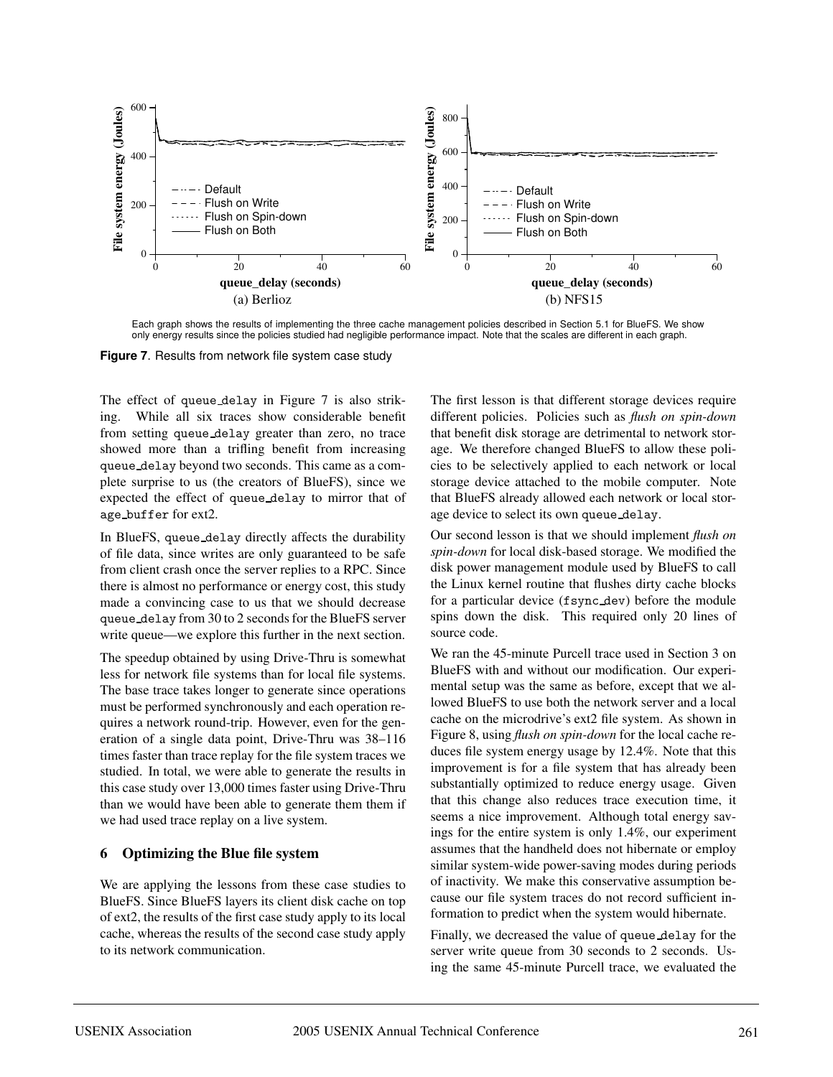

Each graph shows the results of implementing the three cache management policies described in Section 5.1 for BlueFS. We show only energy results since the policies studied had negligible performance impact. Note that the scales are different in each graph.

**Figure 7**. Results from network file system case study

The effect of queue delay in Figure 7 is also striking. While all six traces show considerable benefit from setting queue delay greater than zero, no trace showed more than a trifling benefit from increasing queue delay beyond two seconds. This came as a complete surprise to us (the creators of BlueFS), since we expected the effect of queue delay to mirror that of age buffer for ext2.

In BlueFS, queue delay directly affects the durability of file data, since writes are only guaranteed to be safe from client crash once the server replies to a RPC. Since there is almost no performance or energy cost, this study made a convincing case to us that we should decrease queue delay from 30 to 2 seconds for the BlueFS server write queue—we explore this further in the next section.

The speedup obtained by using Drive-Thru is somewhat less for network file systems than for local file systems. The base trace takes longer to generate since operations must be performed synchronously and each operation requires a network round-trip. However, even for the generation of a single data point, Drive-Thru was 38–116 times faster than trace replay for the file system traces we studied. In total, we were able to generate the results in this case study over 13,000 times faster using Drive-Thru than we would have been able to generate them them if we had used trace replay on a live system.

#### **6 Optimizing the Blue file system**

We are applying the lessons from these case studies to BlueFS. Since BlueFS layers its client disk cache on top of ext2, the results of the first case study apply to its local cache, whereas the results of the second case study apply to its network communication.

The first lesson is that different storage devices require different policies. Policies such as *flush on spin-down* that benefit disk storage are detrimental to network storage. We therefore changed BlueFS to allow these policies to be selectively applied to each network or local storage device attached to the mobile computer. Note that BlueFS already allowed each network or local storage device to select its own queue delay.

Our second lesson is that we should implement *flush on spin-down* for local disk-based storage. We modified the disk power management module used by BlueFS to call the Linux kernel routine that flushes dirty cache blocks for a particular device (fsync dev) before the module spins down the disk. This required only 20 lines of source code.

We ran the 45-minute Purcell trace used in Section 3 on BlueFS with and without our modification. Our experimental setup was the same as before, except that we allowed BlueFS to use both the network server and a local cache on the microdrive's ext2 file system. As shown in Figure 8, using *flush on spin-down* for the local cache reduces file system energy usage by 12.4%. Note that this improvement is for a file system that has already been substantially optimized to reduce energy usage. Given that this change also reduces trace execution time, it seems a nice improvement. Although total energy savings for the entire system is only 1.4%, our experiment assumes that the handheld does not hibernate or employ similar system-wide power-saving modes during periods of inactivity. We make this conservative assumption because our file system traces do not record sufficient information to predict when the system would hibernate.

Finally, we decreased the value of queue delay for the server write queue from 30 seconds to 2 seconds. Using the same 45-minute Purcell trace, we evaluated the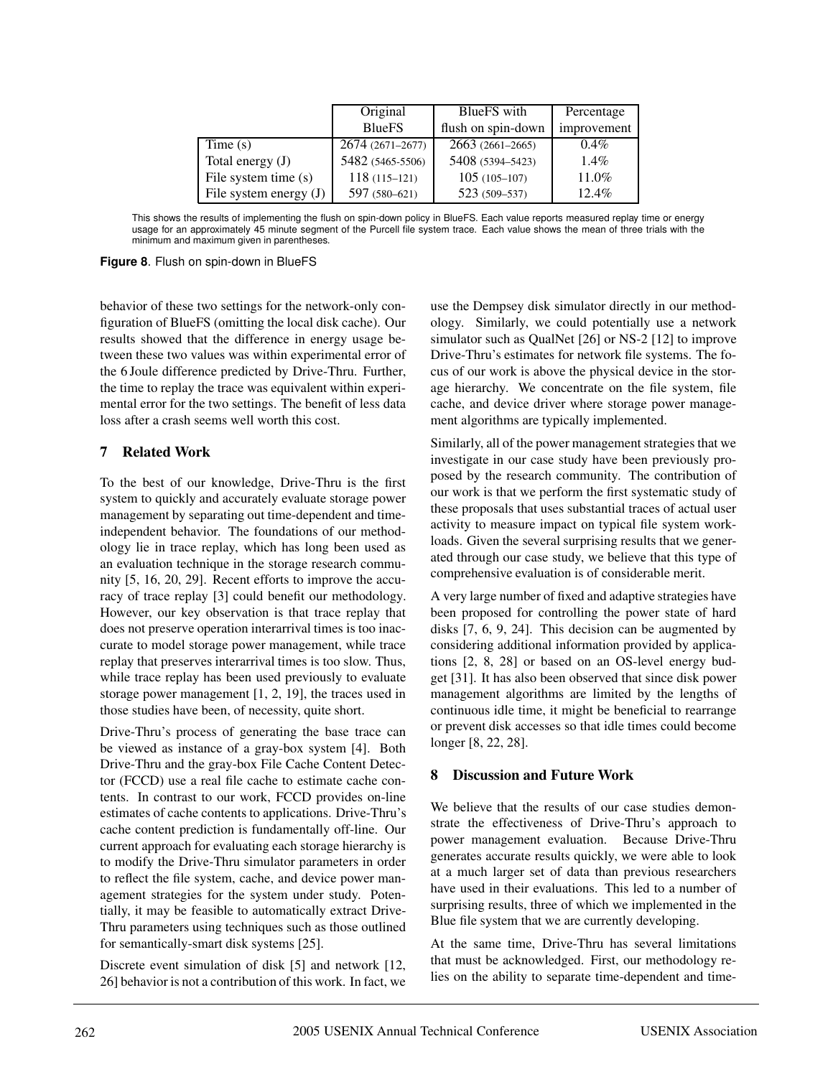|                          | Original         | BlueFS with        | Percentage  |
|--------------------------|------------------|--------------------|-------------|
|                          | <b>BlueFS</b>    | flush on spin-down | improvement |
| Time $(s)$               | 2674 (2671-2677) | 2663 (2661-2665)   | $0.4\%$     |
| Total energy $(J)$       | 5482 (5465-5506) | 5408 (5394-5423)   | $1.4\%$     |
| File system time (s)     | $118(115-121)$   | $105(105-107)$     | 11.0%       |
| File system energy $(J)$ | 597 (580-621)    | 523 (509-537)      | $12.4\%$    |

This shows the results of implementing the flush on spin-down policy in BlueFS. Each value reports measured replay time or energy usage for an approximately 45 minute segment of the Purcell file system trace. Each value shows the mean of three trials with the minimum and maximum given in parentheses.

**Figure 8**. Flush on spin-down in BlueFS

behavior of these two settings for the network-only configuration of BlueFS (omitting the local disk cache). Our results showed that the difference in energy usage between these two values was within experimental error of the 6 Joule difference predicted by Drive-Thru. Further, the time to replay the trace was equivalent within experimental error for the two settings. The benefit of less data loss after a crash seems well worth this cost.

# **7 Related Work**

To the best of our knowledge, Drive-Thru is the first system to quickly and accurately evaluate storage power management by separating out time-dependent and timeindependent behavior. The foundations of our methodology lie in trace replay, which has long been used as an evaluation technique in the storage research community [5, 16, 20, 29]. Recent efforts to improve the accuracy of trace replay [3] could benefit our methodology. However, our key observation is that trace replay that does not preserve operation interarrival times is too inaccurate to model storage power management, while trace replay that preserves interarrival times is too slow. Thus, while trace replay has been used previously to evaluate storage power management [1, 2, 19], the traces used in those studies have been, of necessity, quite short.

Drive-Thru's process of generating the base trace can be viewed as instance of a gray-box system [4]. Both Drive-Thru and the gray-box File Cache Content Detector (FCCD) use a real file cache to estimate cache contents. In contrast to our work, FCCD provides on-line estimates of cache contents to applications. Drive-Thru's cache content prediction is fundamentally off-line. Our current approach for evaluating each storage hierarchy is to modify the Drive-Thru simulator parameters in order to reflect the file system, cache, and device power management strategies for the system under study. Potentially, it may be feasible to automatically extract Drive-Thru parameters using techniques such as those outlined for semantically-smart disk systems [25].

Discrete event simulation of disk [5] and network [12, 26] behavior is not a contribution of this work. In fact, we use the Dempsey disk simulator directly in our methodology. Similarly, we could potentially use a network simulator such as QualNet [26] or NS-2 [12] to improve Drive-Thru's estimates for network file systems. The focus of our work is above the physical device in the storage hierarchy. We concentrate on the file system, file cache, and device driver where storage power management algorithms are typically implemented.

Similarly, all of the power management strategies that we investigate in our case study have been previously proposed by the research community. The contribution of our work is that we perform the first systematic study of these proposals that uses substantial traces of actual user activity to measure impact on typical file system workloads. Given the several surprising results that we generated through our case study, we believe that this type of comprehensive evaluation is of considerable merit.

A very large number of fixed and adaptive strategies have been proposed for controlling the power state of hard disks [7, 6, 9, 24]. This decision can be augmented by considering additional information provided by applications [2, 8, 28] or based on an OS-level energy budget [31]. It has also been observed that since disk power management algorithms are limited by the lengths of continuous idle time, it might be beneficial to rearrange or prevent disk accesses so that idle times could become longer [8, 22, 28].

# **8 Discussion and Future Work**

We believe that the results of our case studies demonstrate the effectiveness of Drive-Thru's approach to power management evaluation. Because Drive-Thru generates accurate results quickly, we were able to look at a much larger set of data than previous researchers have used in their evaluations. This led to a number of surprising results, three of which we implemented in the Blue file system that we are currently developing.

At the same time, Drive-Thru has several limitations that must be acknowledged. First, our methodology relies on the ability to separate time-dependent and time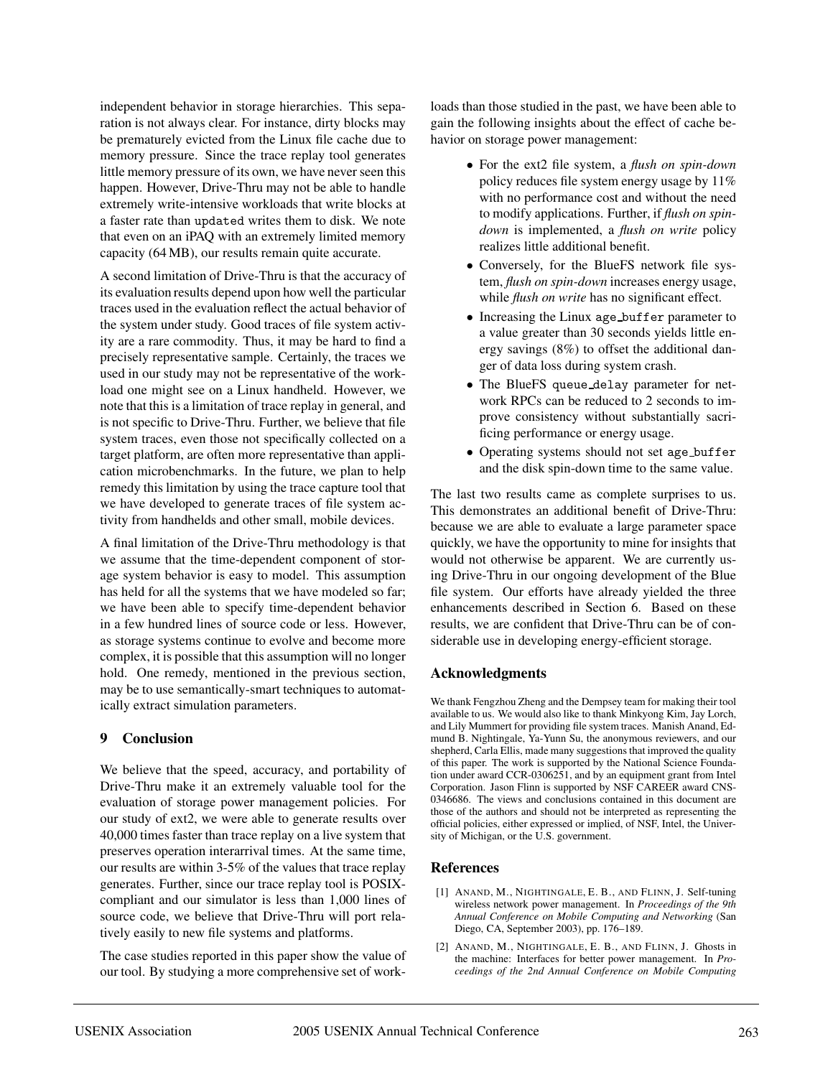independent behavior in storage hierarchies. This separation is not always clear. For instance, dirty blocks may be prematurely evicted from the Linux file cache due to memory pressure. Since the trace replay tool generates little memory pressure of its own, we have never seen this happen. However, Drive-Thru may not be able to handle extremely write-intensive workloads that write blocks at a faster rate than updated writes them to disk. We note that even on an iPAQ with an extremely limited memory capacity (64 MB), our results remain quite accurate.

A second limitation of Drive-Thru is that the accuracy of its evaluation results depend upon how well the particular traces used in the evaluation reflect the actual behavior of the system under study. Good traces of file system activity are a rare commodity. Thus, it may be hard to find a precisely representative sample. Certainly, the traces we used in our study may not be representative of the workload one might see on a Linux handheld. However, we note that this is a limitation of trace replay in general, and is not specific to Drive-Thru. Further, we believe that file system traces, even those not specifically collected on a target platform, are often more representative than application microbenchmarks. In the future, we plan to help remedy this limitation by using the trace capture tool that we have developed to generate traces of file system activity from handhelds and other small, mobile devices.

A final limitation of the Drive-Thru methodology is that we assume that the time-dependent component of storage system behavior is easy to model. This assumption has held for all the systems that we have modeled so far; we have been able to specify time-dependent behavior in a few hundred lines of source code or less. However, as storage systems continue to evolve and become more complex, it is possible that this assumption will no longer hold. One remedy, mentioned in the previous section, may be to use semantically-smart techniques to automatically extract simulation parameters.

#### **9 Conclusion**

We believe that the speed, accuracy, and portability of Drive-Thru make it an extremely valuable tool for the evaluation of storage power management policies. For our study of ext2, we were able to generate results over 40,000 times faster than trace replay on a live system that preserves operation interarrival times. At the same time, our results are within 3-5% of the values that trace replay generates. Further, since our trace replay tool is POSIXcompliant and our simulator is less than 1,000 lines of source code, we believe that Drive-Thru will port relatively easily to new file systems and platforms.

The case studies reported in this paper show the value of our tool. By studying a more comprehensive set of workloads than those studied in the past, we have been able to gain the following insights about the effect of cache behavior on storage power management:

- For the ext2 file system, a *flush on spin-down* policy reduces file system energy usage by 11% with no performance cost and without the need to modify applications. Further, if *flush on spindown* is implemented, a *flush on write* policy realizes little additional benefit.
- Conversely, for the BlueFS network file system, *flush on spin-down* increases energy usage, while *flush on write* has no significant effect.
- Increasing the Linux age buffer parameter to a value greater than 30 seconds yields little energy savings (8%) to offset the additional danger of data loss during system crash.
- The BlueFS queue delay parameter for network RPCs can be reduced to 2 seconds to improve consistency without substantially sacrificing performance or energy usage.
- Operating systems should not set age buffer and the disk spin-down time to the same value.

The last two results came as complete surprises to us. This demonstrates an additional benefit of Drive-Thru: because we are able to evaluate a large parameter space quickly, we have the opportunity to mine for insights that would not otherwise be apparent. We are currently using Drive-Thru in our ongoing development of the Blue file system. Our efforts have already yielded the three enhancements described in Section 6. Based on these results, we are confident that Drive-Thru can be of considerable use in developing energy-efficient storage.

## **Acknowledgments**

We thank Fengzhou Zheng and the Dempsey team for making their tool available to us. We would also like to thank Minkyong Kim, Jay Lorch, and Lily Mummert for providing file system traces. Manish Anand, Edmund B. Nightingale, Ya-Yunn Su, the anonymous reviewers, and our shepherd, Carla Ellis, made many suggestions that improved the quality of this paper. The work is supported by the National Science Foundation under award CCR-0306251, and by an equipment grant from Intel Corporation. Jason Flinn is supported by NSF CAREER award CNS-0346686. The views and conclusions contained in this document are those of the authors and should not be interpreted as representing the official policies, either expressed or implied, of NSF, Intel, the University of Michigan, or the U.S. government.

## **References**

- [1] ANAND, M., NIGHTINGALE, E. B., AND FLINN, J. Self-tuning wireless network power management. In *Proceedings of the 9th Annual Conference on Mobile Computing and Networking* (San Diego, CA, September 2003), pp. 176–189.
- [2] ANAND, M., NIGHTINGALE, E. B., AND FLINN, J. Ghosts in the machine: Interfaces for better power management. In *Proceedings of the 2nd Annual Conference on Mobile Computing*